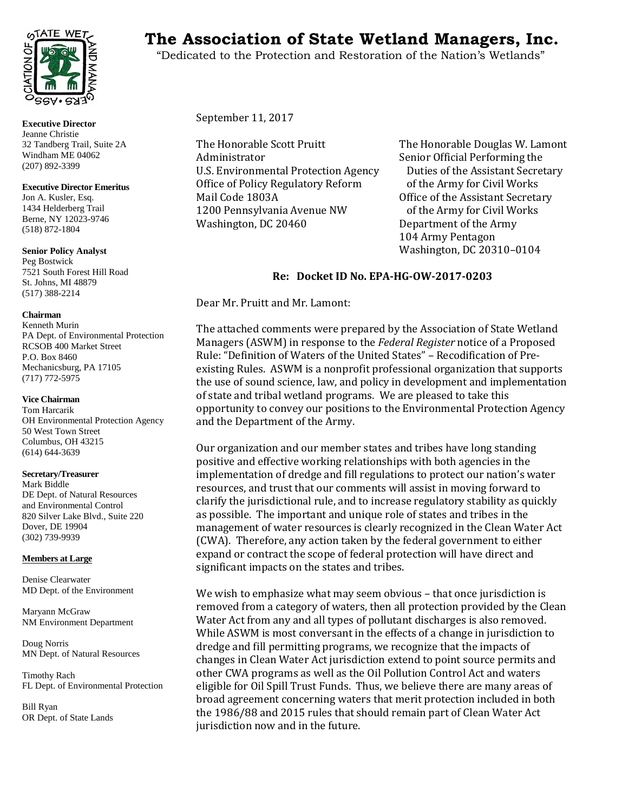

**Executive Director** Jeanne Christie 32 Tandberg Trail, Suite 2A Windham ME 04062 (207) 892-3399

#### **Executive Director Emeritus**

Jon A. Kusler, Esq. 1434 Helderberg Trail Berne, NY 12023-9746 (518) 872-1804

## **Senior Policy Analyst**

Peg Bostwick 7521 South Forest Hill Road St. Johns, MI 48879 (517) 388-2214

#### **Chairman**

Kenneth Murin PA Dept. of Environmental Protection RCSOB 400 Market Street P.O. Box 8460 Mechanicsburg, PA 17105 (717) 772-5975

#### **Vice Chairman**

Tom Harcarik OH Environmental Protection Agency 50 West Town Street Columbus, OH 43215 (614) 644-3639

#### **Secretary/Treasurer**

Mark Biddle DE Dept. of Natural Resources and Environmental Control 820 Silver Lake Blvd., Suite 220 Dover, DE 19904 (302) 739-9939

#### **Members at Large**

Denise Clearwater MD Dept. of the Environment

Maryann McGraw NM Environment Department

Doug Norris MN Dept. of Natural Resources

Timothy Rach FL Dept. of Environmental Protection

Bill Ryan OR Dept. of State Lands

# TATE WET<sub>S</sub> The Association of State Wetland Managers, Inc.

"Dedicated to the Protection and Restoration of the Nation's Wetlands"

September 11, 2017

The Honorable Scott Pruitt The Honorable Douglas W. Lamont U.S. Environmental Protection Agency Duties of the Assistant Secre<br>Office of Policy Regulatory Reform of the Army for Civil Works Office of Policy Regulatory Reform<br>Mail Code 1803A 1200 Pennsylvania Avenue NW<br>Washington, DC 20460

Senior Official Performing the<br>Duties of the Assistant Secretary Office of the Assistant Secretary<br>of the Army for Civil Works Department of the Army 104 Army Pentagon Washington, DC 20310–0104

# **Re: Docket ID No. EPA-HG-OW-2017-0203**

Dear Mr. Pruitt and Mr. Lamont:

The attached comments were prepared by the Association of State Wetland Managers (ASWM) in response to the *Federal Register* notice of a Proposed Rule: "Definition of Waters of the United States" – Recodification of Preexisting Rules. ASWM is a nonprofit professional organization that supports the use of sound science, law, and policy in development and implementation of state and tribal wetland programs. We are pleased to take this opportunity to convey our positions to the Environmental Protection Agency and the Department of the Army.

Our organization and our member states and tribes have long standing positive and effective working relationships with both agencies in the implementation of dredge and fill regulations to protect our nation's water resources, and trust that our comments will assist in moving forward to clarify the jurisdictional rule, and to increase regulatory stability as quickly as possible. The important and unique role of states and tribes in the management of water resources is clearly recognized in the Clean Water Act (CWA). Therefore, any action taken by the federal government to either expand or contract the scope of federal protection will have direct and significant impacts on the states and tribes.

We wish to emphasize what may seem obvious – that once jurisdiction is removed from a category of waters, then all protection provided by the Clean Water Act from any and all types of pollutant discharges is also removed. While ASWM is most conversant in the effects of a change in jurisdiction to dredge and fill permitting programs, we recognize that the impacts of changes in Clean Water Act jurisdiction extend to point source permits and other CWA programs as well as the Oil Pollution Control Act and waters eligible for Oil Spill Trust Funds. Thus, we believe there are many areas of broad agreement concerning waters that merit protection included in both the 1986/88 and 2015 rules that should remain part of Clean Water Act jurisdiction now and in the future.